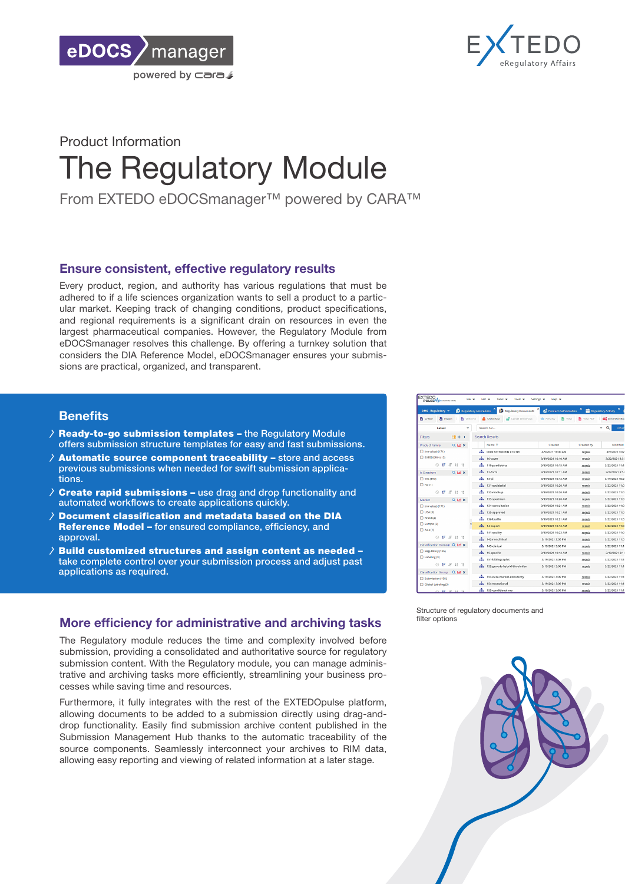



# Product Information The Regulatory Module

From EXTEDO eDOCSmanager™ powered by CARA™

## Ensure consistent, effective regulatory results

Every product, region, and authority has various regulations that must be adhered to if a life sciences organization wants to sell a product to a particular market. Keeping track of changing conditions, product specifications, and regional requirements is a significant drain on resources in even the largest pharmaceutical companies. However, the Regulatory Module from eDOCSmanager resolves this challenge. By offering a turnkey solution that considers the DIA Reference Model, eDOCSmanager ensures your submissions are practical, organized, and transparent.

### **Benefits**

- $\lambda$  Ready-to-go submission templates the Regulatory Module offers submission structure templates for easy and fast submissions.
- $\overline{\lambda}$  Automatic source component traceability store and access previous submissions when needed for swift submission applications.
- $\lambda$  Create rapid submissions use drag and drop functionality and automated workflows to create applications quickly.
- $\lambda$  Document classification and metadata based on the DIA Reference Model – for ensured compliance, efficiency, and approval.
- $\lambda$  Build customized structures and assign content as needed take complete control over your submission process and adjust past applications as required.

# More efficiency for administrative and archiving tasks

The Regulatory module reduces the time and complexity involved before submission, providing a consolidated and authoritative source for regulatory submission content. With the Regulatory module, you can manage administrative and archiving tasks more efficiently, streamlining your business processes while saving time and resources.

Furthermore, it fully integrates with the rest of the EXTEDOpulse platform, allowing documents to be added to a submission directly using drag-anddrop functionality. Easily find submission archive content published in the Submission Management Hub thanks to the automatic traceability of the source components. Seamlessly interconnect your archives to RIM data, allowing easy reporting and viewing of related information at a later stage.

| <b>FXTEDO</b><br>File w<br>PULSE-MARKHAMMARING  | Edit +                           | Tasks -<br>Tools +                                                 | Settings v<br>Help +            |                   |                      |
|-------------------------------------------------|----------------------------------|--------------------------------------------------------------------|---------------------------------|-------------------|----------------------|
| $DMS$ - Regulatory $\rightarrow$                | <b>ICI</b> Regulatory Assemblies | <b>D</b> Regulatory Documents                                      | <b>SA</b> Product Authorisation |                   | Regulatory Activity  |
| <b>Pa</b> Create<br>Thoon!<br>B Check-In        |                                  | <b>A</b> Check-Out<br><b>P</b> Cancel Check-Out   <b>@</b> Preview | <b>R</b> View                   | <b>N</b> View PDF | <b>DC</b> Send World |
| Latest                                          | Search For                       |                                                                    |                                 |                   | Q<br>Adı             |
| <b>Filters</b><br>嘘・・                           | <b>Search Results</b>            |                                                                    |                                 |                   |                      |
| <b>Product Family</b><br>QMX                    |                                  | Name 1                                                             | Created                         | Created By        | Modifie              |
| no value) (171)                                 |                                  | <b>ALCORDO EXTEDORIN CTD BR</b>                                    | 4/9/2021 11:00 AM               | regula            | 4/9/2021 3:          |
| EXTEDORIN (15)                                  | $\frac{1}{2}$ 10-cover           |                                                                    | 3/19/2021 10:10 AM              | regula            | 3/22/2021 8          |
| ◎ 情 期 時 12                                      |                                  | <b>n</b> 110-paediatrics                                           | 3/19/2021 10:15 AM              | regula            | 3/22/2021 11         |
| <b>Is Structure</b><br>$Q \nightharpoonup x$    | $\frac{1}{2}$ 12-form            |                                                                    | 3/19/2021 10:11 AM              | regula            | 3/22/2021 8          |
| T Yes (197)                                     | Æ.<br>$13-0i$                    |                                                                    | 3/19/2021 10:12 AM              | regula            | 3/19/2021 10         |
| $\Box$ No (1)                                   |                                  | $\frac{1}{21}$ 131-spriabelpl                                      | 3/19/2021 10:20 AM              | regula            | 3/22/2021 11         |
| ◎ 伊 垣 廿 廿                                       |                                  | $\frac{1}{2}$ 132-morkup                                           | 3/19/2021 10:20 AM              | regula            | 3/22/2021 11         |
| Market<br>$Q \equiv x$                          |                                  | $\frac{1}{211}$ 133-specimen                                       | 3/19/2021 10:20 AM              | regula            | 3/22/2021 11         |
| □ (no value) (171)                              |                                  | <b>Ex.</b> 134-consultation                                        | 3/19/2021 10:21 AM              | regula            | 3/22/2021 11         |
| $\Box$ USA (6)                                  |                                  | <sup>135-approved</sup>                                            | 3/19/2021 10:21 AM              | regula            | 3/22/2021 11         |
| $2$ Brasil (4)                                  | $\frac{1}{2}$ 136-braille        |                                                                    | 3/19/2021 10:21 AM              | regula            | 3/22/2021 11         |
| □ Europe (3)                                    | $\frac{1}{2}$ 14-expert          |                                                                    | 3/19/2021 10:12 AM              | regula            | 3/22/2021 11         |
| $\Box$ Asia (1)                                 | $\frac{1}{2}$ 141-quality        |                                                                    | 3/19/2021 10:23 AM              | regula            | 3/22/2021 11         |
| $\circledcirc$ if if it it is                   |                                  | $\mathbf{h}$ 142-nonclinical                                       | 3/19/2021 3:05 PM               | regula            | 3/22/2021 11         |
| Classification Domain Q LM X                    | $\frac{1}{2}$ 143-dinical        |                                                                    | 3/19/2021 3:06 PM               | regula            | 3/22/2021 11         |
| Regulatory (195)                                | $\frac{1}{2}$ 15-specific        |                                                                    | 3/19/2021 10:12 AM              | regula            | 3/19/2021 3          |
| Labeling (3)                                    |                                  | m 151-bibliographic                                                | 3/19/2021 3:08 PM               | regula            | 3/22/2021 11         |
| $\circledcirc$ if if it it is                   |                                  | 152-generic-hybrid-bio-similar                                     | 3/19/2021 3:08 PM               | regula            | 3/22/2021 11         |
| <b>Classification Group</b><br>Q <sub>M</sub> x |                                  |                                                                    |                                 |                   |                      |
| Submission (195)                                |                                  | 21 153-data-market-exclusivity                                     | 3/19/2021 3:09 PM               | regula            | 3/22/2021 11         |
| Global Labeling (3)                             |                                  | <b>ch</b> 154-exceptional                                          | 3/19/2021 3:09 PM               | regula            | 3/22/2021 11         |
| ○ 17 17 16 16                                   |                                  | an 155-conditional-ma                                              | 3/19/2021 3:09 PM               | regula            | 3/22/2021 11         |

Structure of regulatory documents and filter options